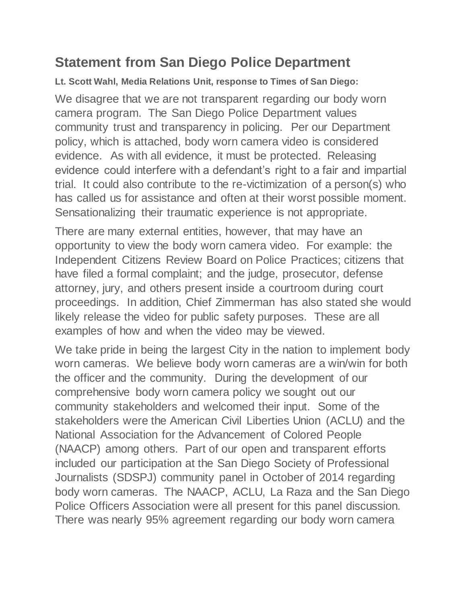## **Statement from San Diego Police Department**

**Lt. Scott Wahl, Media Relations Unit, response to Times of San Diego:**

We disagree that we are not transparent regarding our body worn camera program. The San Diego Police Department values community trust and transparency in policing. Per our Department policy, which is attached, body worn camera video is considered evidence. As with all evidence, it must be protected. Releasing evidence could interfere with a defendant's right to a fair and impartial trial. It could also contribute to the re-victimization of a person(s) who has called us for assistance and often at their worst possible moment. Sensationalizing their traumatic experience is not appropriate.

There are many external entities, however, that may have an opportunity to view the body worn camera video. For example: the Independent Citizens Review Board on Police Practices; citizens that have filed a formal complaint; and the judge, prosecutor, defense attorney, jury, and others present inside a courtroom during court proceedings. In addition, Chief Zimmerman has also stated she would likely release the video for public safety purposes. These are all examples of how and when the video may be viewed.

We take pride in being the largest City in the nation to implement body worn cameras. We believe body worn cameras are a win/win for both the officer and the community. During the development of our comprehensive body worn camera policy we sought out our community stakeholders and welcomed their input. Some of the stakeholders were the American Civil Liberties Union (ACLU) and the National Association for the Advancement of Colored People (NAACP) among others. Part of our open and transparent efforts included our participation at the San Diego Society of Professional Journalists (SDSPJ) community panel in October of 2014 regarding body worn cameras. The NAACP, ACLU, La Raza and the San Diego Police Officers Association were all present for this panel discussion. There was nearly 95% agreement regarding our body worn camera